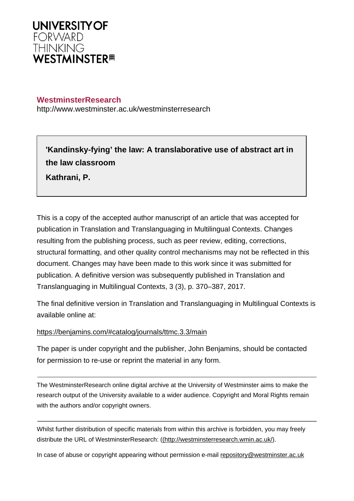

# **WestminsterResearch**

http://www.westminster.ac.uk/westminsterresearch

**'Kandinsky-fying' the law: A translaborative use of abstract art in the law classroom**

**Kathrani, P.**

This is a copy of the accepted author manuscript of an article that was accepted for publication in Translation and Translanguaging in Multilingual Contexts. Changes resulting from the publishing process, such as peer review, editing, corrections, structural formatting, and other quality control mechanisms may not be reflected in this document. Changes may have been made to this work since it was submitted for publication. A definitive version was subsequently published in Translation and Translanguaging in Multilingual Contexts, 3 (3), p. 370–387, 2017.

The final definitive version in Translation and Translanguaging in Multilingual Contexts is available online at:

<https://benjamins.com/#catalog/journals/ttmc.3.3/main>

The paper is under copyright and the publisher, John Benjamins, should be contacted for permission to re-use or reprint the material in any form.

The WestminsterResearch online digital archive at the University of Westminster aims to make the research output of the University available to a wider audience. Copyright and Moral Rights remain with the authors and/or copyright owners.

Whilst further distribution of specific materials from within this archive is forbidden, you may freely distribute the URL of WestminsterResearch: [\(\(http://westminsterresearch.wmin.ac.uk/](http://westminsterresearch.wmin.ac.uk/)).

In case of abuse or copyright appearing without permission e-mail <repository@westminster.ac.uk>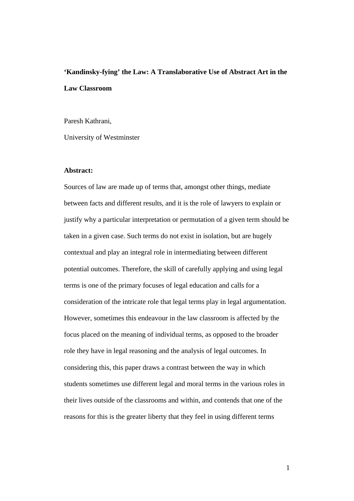# **'Kandinsky-fying' the Law: A Translaborative Use of Abstract Art in the Law Classroom**

Paresh Kathrani,

University of Westminster

#### **Abstract:**

Sources of law are made up of terms that, amongst other things, mediate between facts and different results, and it is the role of lawyers to explain or justify why a particular interpretation or permutation of a given term should be taken in a given case. Such terms do not exist in isolation, but are hugely contextual and play an integral role in intermediating between different potential outcomes. Therefore, the skill of carefully applying and using legal terms is one of the primary focuses of legal education and calls for a consideration of the intricate role that legal terms play in legal argumentation. However, sometimes this endeavour in the law classroom is affected by the focus placed on the meaning of individual terms, as opposed to the broader role they have in legal reasoning and the analysis of legal outcomes. In considering this, this paper draws a contrast between the way in which students sometimes use different legal and moral terms in the various roles in their lives outside of the classrooms and within, and contends that one of the reasons for this is the greater liberty that they feel in using different terms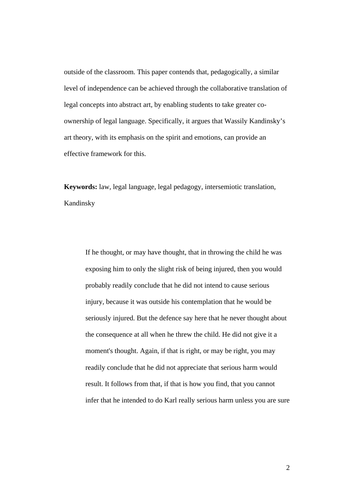outside of the classroom. This paper contends that, pedagogically, a similar level of independence can be achieved through the collaborative translation of legal concepts into abstract art, by enabling students to take greater coownership of legal language. Specifically, it argues that Wassily Kandinsky's art theory, with its emphasis on the spirit and emotions, can provide an effective framework for this.

**Keywords:** law, legal language, legal pedagogy, intersemiotic translation, Kandinsky

If he thought, or may have thought, that in throwing the child he was exposing him to only the slight risk of being injured, then you would probably readily conclude that he did not intend to cause serious injury, because it was outside his contemplation that he would be seriously injured. But the defence say here that he never thought about the consequence at all when he threw the child. He did not give it a moment's thought. Again, if that is right, or may be right, you may readily conclude that he did not appreciate that serious harm would result. It follows from that, if that is how you find, that you cannot infer that he intended to do Karl really serious harm unless you are sure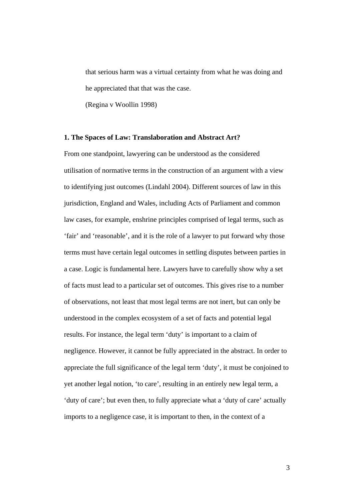that serious harm was a virtual certainty from what he was doing and he appreciated that that was the case.

(Regina v Woollin 1998)

#### **1. The Spaces of Law: Translaboration and Abstract Art?**

From one standpoint, lawyering can be understood as the considered utilisation of normative terms in the construction of an argument with a view to identifying just outcomes (Lindahl 2004). Different sources of law in this jurisdiction, England and Wales, including Acts of Parliament and common law cases, for example, enshrine principles comprised of legal terms, such as 'fair' and 'reasonable', and it is the role of a lawyer to put forward why those terms must have certain legal outcomes in settling disputes between parties in a case. Logic is fundamental here. Lawyers have to carefully show why a set of facts must lead to a particular set of outcomes. This gives rise to a number of observations, not least that most legal terms are not inert, but can only be understood in the complex ecosystem of a set of facts and potential legal results. For instance, the legal term 'duty' is important to a claim of negligence. However, it cannot be fully appreciated in the abstract. In order to appreciate the full significance of the legal term 'duty', it must be conjoined to yet another legal notion, 'to care', resulting in an entirely new legal term, a 'duty of care'; but even then, to fully appreciate what a 'duty of care' actually imports to a negligence case, it is important to then, in the context of a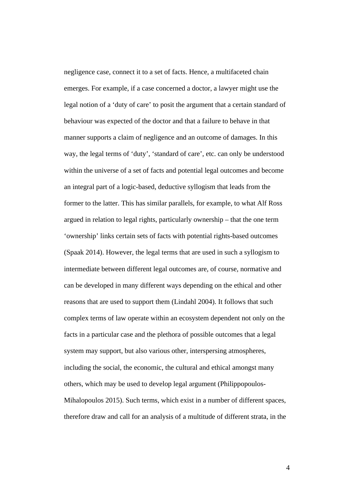negligence case, connect it to a set of facts. Hence, a multifaceted chain emerges. For example, if a case concerned a doctor, a lawyer might use the legal notion of a 'duty of care' to posit the argument that a certain standard of behaviour was expected of the doctor and that a failure to behave in that manner supports a claim of negligence and an outcome of damages. In this way, the legal terms of 'duty', 'standard of care', etc. can only be understood within the universe of a set of facts and potential legal outcomes and become an integral part of a logic-based, deductive syllogism that leads from the former to the latter. This has similar parallels, for example, to what Alf Ross argued in relation to legal rights, particularly ownership – that the one term 'ownership' links certain sets of facts with potential rights-based outcomes (Spaak 2014). However, the legal terms that are used in such a syllogism to intermediate between different legal outcomes are, of course, normative and can be developed in many different ways depending on the ethical and other reasons that are used to support them (Lindahl 2004). It follows that such complex terms of law operate within an ecosystem dependent not only on the facts in a particular case and the plethora of possible outcomes that a legal system may support, but also various other, interspersing atmospheres, including the social, the economic, the cultural and ethical amongst many others, which may be used to develop legal argument (Philippopoulos-Mihalopoulos 2015). Such terms, which exist in a number of different spaces, therefore draw and call for an analysis of a multitude of different strata, in the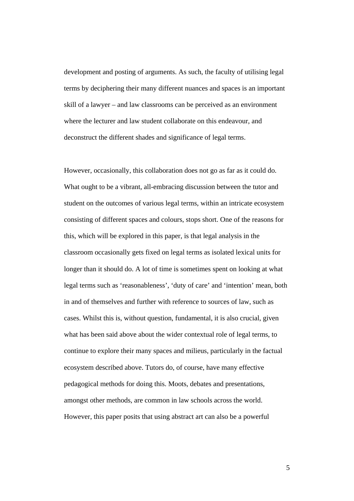development and posting of arguments. As such, the faculty of utilising legal terms by deciphering their many different nuances and spaces is an important skill of a lawyer – and law classrooms can be perceived as an environment where the lecturer and law student collaborate on this endeavour, and deconstruct the different shades and significance of legal terms.

However, occasionally, this collaboration does not go as far as it could do. What ought to be a vibrant, all-embracing discussion between the tutor and student on the outcomes of various legal terms, within an intricate ecosystem consisting of different spaces and colours, stops short. One of the reasons for this, which will be explored in this paper, is that legal analysis in the classroom occasionally gets fixed on legal terms as isolated lexical units for longer than it should do. A lot of time is sometimes spent on looking at what legal terms such as 'reasonableness', 'duty of care' and 'intention' mean, both in and of themselves and further with reference to sources of law, such as cases. Whilst this is, without question, fundamental, it is also crucial, given what has been said above about the wider contextual role of legal terms, to continue to explore their many spaces and milieus, particularly in the factual ecosystem described above. Tutors do, of course, have many effective pedagogical methods for doing this. Moots, debates and presentations, amongst other methods, are common in law schools across the world. However, this paper posits that using abstract art can also be a powerful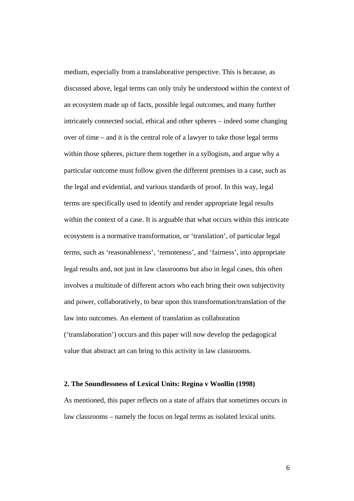medium, especially from a translaborative perspective. This is because, as discussed above, legal terms can only truly be understood within the context of an ecosystem made up of facts, possible legal outcomes, and many further intricately connected social, ethical and other spheres – indeed some changing over of time – and it is the central role of a lawyer to take those legal terms within those spheres, picture them together in a syllogism, and argue why a particular outcome must follow given the different premises in a case, such as the legal and evidential, and various standards of proof. In this way, legal terms are specifically used to identify and render appropriate legal results within the context of a case. It is arguable that what occurs within this intricate ecosystem is a normative transformation, or 'translation', of particular legal terms, such as 'reasonableness', 'remoteness', and 'fairness', into appropriate legal results and, not just in law classrooms but also in legal cases, this often involves a multitude of different actors who each bring their own subjectivity and power, collaboratively, to bear upon this transformation/translation of the law into outcomes. An element of translation as collaboration ('translaboration') occurs and this paper will now develop the pedagogical value that abstract art can bring to this activity in law classrooms.

#### **2. The Soundlessness of Lexical Units: Regina v Woollin (1998)**

As mentioned, this paper reflects on a state of affairs that sometimes occurs in law classrooms – namely the focus on legal terms as isolated lexical units.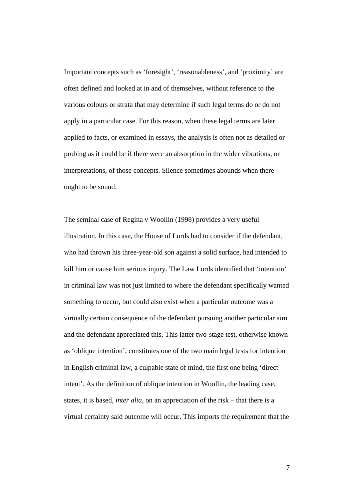Important concepts such as 'foresight', 'reasonableness', and 'proximity' are often defined and looked at in and of themselves, without reference to the various colours or strata that may determine if such legal terms do or do not apply in a particular case. For this reason, when these legal terms are later applied to facts, or examined in essays, the analysis is often not as detailed or probing as it could be if there were an absorption in the wider vibrations, or interpretations, of those concepts. Silence sometimes abounds when there ought to be sound.

The seminal case of Regina v Woollin (1998) provides a very useful illustration. In this case, the House of Lords had to consider if the defendant, who had thrown his three-year-old son against a solid surface, had intended to kill him or cause him serious injury. The Law Lords identified that 'intention' in criminal law was not just limited to where the defendant specifically wanted something to occur, but could also exist when a particular outcome was a virtually certain consequence of the defendant pursuing another particular aim and the defendant appreciated this. This latter two-stage test, otherwise known as 'oblique intention', constitutes one of the two main legal tests for intention in English criminal law, a culpable state of mind, the first one being 'direct intent'. As the definition of oblique intention in Woollin, the leading case, states, it is based, *inter alia*, on an appreciation of the risk – that there is a virtual certainty said outcome will occur. This imports the requirement that the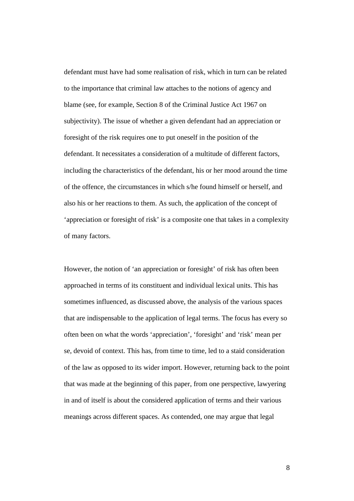defendant must have had some realisation of risk, which in turn can be related to the importance that criminal law attaches to the notions of agency and blame (see, for example, Section 8 of the Criminal Justice Act 1967 on subjectivity). The issue of whether a given defendant had an appreciation or foresight of the risk requires one to put oneself in the position of the defendant. It necessitates a consideration of a multitude of different factors, including the characteristics of the defendant, his or her mood around the time of the offence, the circumstances in which s/he found himself or herself, and also his or her reactions to them. As such, the application of the concept of 'appreciation or foresight of risk' is a composite one that takes in a complexity of many factors.

However, the notion of 'an appreciation or foresight' of risk has often been approached in terms of its constituent and individual lexical units. This has sometimes influenced, as discussed above, the analysis of the various spaces that are indispensable to the application of legal terms. The focus has every so often been on what the words 'appreciation', 'foresight' and 'risk' mean per se, devoid of context. This has, from time to time, led to a staid consideration of the law as opposed to its wider import. However, returning back to the point that was made at the beginning of this paper, from one perspective, lawyering in and of itself is about the considered application of terms and their various meanings across different spaces. As contended, one may argue that legal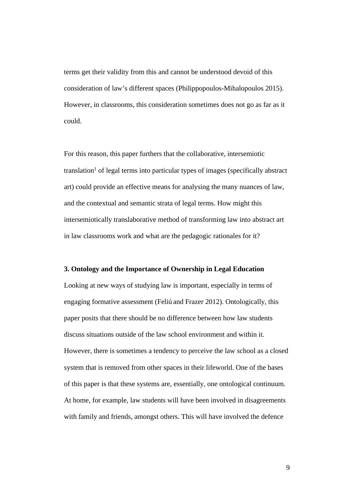terms get their validity from this and cannot be understood devoid of this consideration of law's different spaces (Philippopoulos-Mihalopoulos 2015). However, in classrooms, this consideration sometimes does not go as far as it could.

For this reason, this paper furthers that the collaborative, intersemiotic translation<sup>1</sup> of legal terms into particular types of images (specifically abstract art) could provide an effective means for analysing the many nuances of law, and the contextual and semantic strata of legal terms. How might this intersemiotically translaborative method of transforming law into abstract art in law classrooms work and what are the pedagogic rationales for it?

#### **3. Ontology and the Importance of Ownership in Legal Education**

Looking at new ways of studying law is important, especially in terms of engaging formative assessment (Feliú and Frazer 2012). Ontologically, this paper posits that there should be no difference between how law students discuss situations outside of the law school environment and within it. However, there is sometimes a tendency to perceive the law school as a closed system that is removed from other spaces in their lifeworld. One of the bases of this paper is that these systems are, essentially, one ontological continuum. At home, for example, law students will have been involved in disagreements with family and friends, amongst others. This will have involved the defence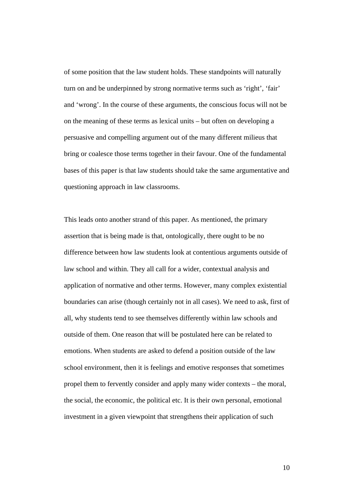of some position that the law student holds. These standpoints will naturally turn on and be underpinned by strong normative terms such as 'right', 'fair' and 'wrong'. In the course of these arguments, the conscious focus will not be on the meaning of these terms as lexical units – but often on developing a persuasive and compelling argument out of the many different milieus that bring or coalesce those terms together in their favour. One of the fundamental bases of this paper is that law students should take the same argumentative and questioning approach in law classrooms.

This leads onto another strand of this paper. As mentioned, the primary assertion that is being made is that, ontologically, there ought to be no difference between how law students look at contentious arguments outside of law school and within. They all call for a wider, contextual analysis and application of normative and other terms. However, many complex existential boundaries can arise (though certainly not in all cases). We need to ask, first of all, why students tend to see themselves differently within law schools and outside of them. One reason that will be postulated here can be related to emotions. When students are asked to defend a position outside of the law school environment, then it is feelings and emotive responses that sometimes propel them to fervently consider and apply many wider contexts – the moral, the social, the economic, the political etc. It is their own personal, emotional investment in a given viewpoint that strengthens their application of such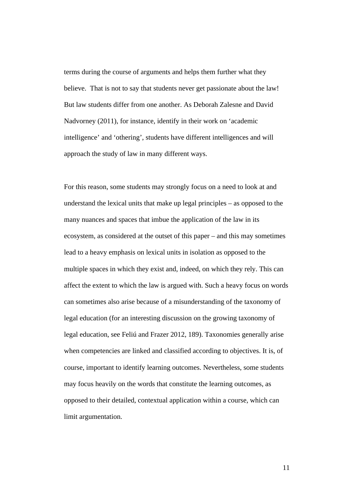terms during the course of arguments and helps them further what they believe. That is not to say that students never get passionate about the law! But law students differ from one another. As Deborah Zalesne and David Nadvorney (2011), for instance, identify in their work on 'academic intelligence' and 'othering', students have different intelligences and will approach the study of law in many different ways.

For this reason, some students may strongly focus on a need to look at and understand the lexical units that make up legal principles – as opposed to the many nuances and spaces that imbue the application of the law in its ecosystem, as considered at the outset of this paper – and this may sometimes lead to a heavy emphasis on lexical units in isolation as opposed to the multiple spaces in which they exist and, indeed, on which they rely. This can affect the extent to which the law is argued with. Such a heavy focus on words can sometimes also arise because of a misunderstanding of the taxonomy of legal education (for an interesting discussion on the growing taxonomy of legal education, see Feliú and Frazer 2012, 189). Taxonomies generally arise when competencies are linked and classified according to objectives. It is, of course, important to identify learning outcomes. Nevertheless, some students may focus heavily on the words that constitute the learning outcomes, as opposed to their detailed, contextual application within a course, which can limit argumentation.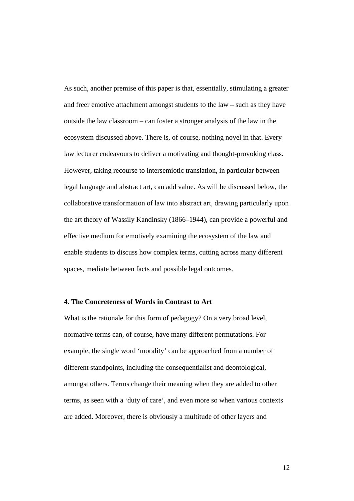As such, another premise of this paper is that, essentially, stimulating a greater and freer emotive attachment amongst students to the law – such as they have outside the law classroom – can foster a stronger analysis of the law in the ecosystem discussed above. There is, of course, nothing novel in that. Every law lecturer endeavours to deliver a motivating and thought-provoking class. However, taking recourse to intersemiotic translation, in particular between legal language and abstract art, can add value. As will be discussed below, the collaborative transformation of law into abstract art, drawing particularly upon the art theory of Wassily Kandinsky (1866–1944), can provide a powerful and effective medium for emotively examining the ecosystem of the law and enable students to discuss how complex terms, cutting across many different spaces, mediate between facts and possible legal outcomes.

#### **4. The Concreteness of Words in Contrast to Art**

What is the rationale for this form of pedagogy? On a very broad level, normative terms can, of course, have many different permutations. For example, the single word 'morality' can be approached from a number of different standpoints, including the consequentialist and deontological, amongst others. Terms change their meaning when they are added to other terms, as seen with a 'duty of care', and even more so when various contexts are added. Moreover, there is obviously a multitude of other layers and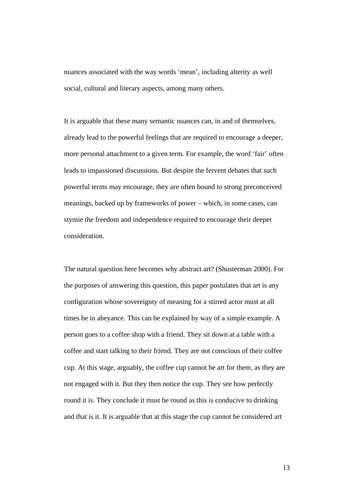nuances associated with the way words 'mean', including alterity as well social, cultural and literary aspects, among many others.

It is arguable that these many semantic nuances can, in and of themselves, already lead to the powerful feelings that are required to encourage a deeper, more personal attachment to a given term. For example, the word 'fair' often leads to impassioned discussions. But despite the fervent debates that such powerful terms may encourage, they are often bound to strong preconceived meanings, backed up by frameworks of power – which, in some cases, can stymie the freedom and independence required to encourage their deeper consideration.

The natural question here becomes why abstract art? (Shusterman 2000). For the purposes of answering this question, this paper postulates that art is any configuration whose sovereignty of meaning for a stirred actor must at all times be in abeyance. This can be explained by way of a simple example. A person goes to a coffee shop with a friend. They sit down at a table with a coffee and start talking to their friend. They are not conscious of their coffee cup. At this stage, arguably, the coffee cup cannot be art for them, as they are not engaged with it. But they then notice the cup. They see how perfectly round it is. They conclude it must be round as this is conducive to drinking and that is it. It is arguable that at this stage the cup cannot be considered art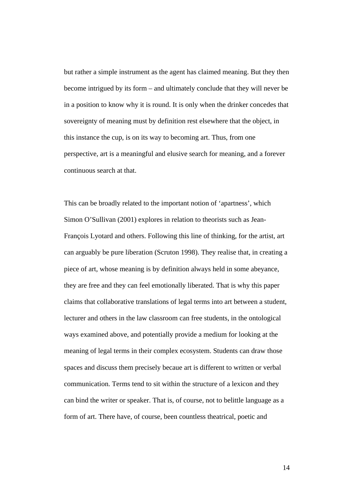but rather a simple instrument as the agent has claimed meaning. But they then become intrigued by its form – and ultimately conclude that they will never be in a position to know why it is round. It is only when the drinker concedes that sovereignty of meaning must by definition rest elsewhere that the object, in this instance the cup, is on its way to becoming art. Thus, from one perspective, art is a meaningful and elusive search for meaning, and a forever continuous search at that.

This can be broadly related to the important notion of 'apartness', which Simon O'Sullivan (2001) explores in relation to theorists such as Jean-François Lyotard and others. Following this line of thinking, for the artist, art can arguably be pure liberation (Scruton 1998). They realise that, in creating a piece of art, whose meaning is by definition always held in some abeyance, they are free and they can feel emotionally liberated. That is why this paper claims that collaborative translations of legal terms into art between a student, lecturer and others in the law classroom can free students, in the ontological ways examined above, and potentially provide a medium for looking at the meaning of legal terms in their complex ecosystem. Students can draw those spaces and discuss them precisely becaue art is different to written or verbal communication. Terms tend to sit within the structure of a lexicon and they can bind the writer or speaker. That is, of course, not to belittle language as a form of art. There have, of course, been countless theatrical, poetic and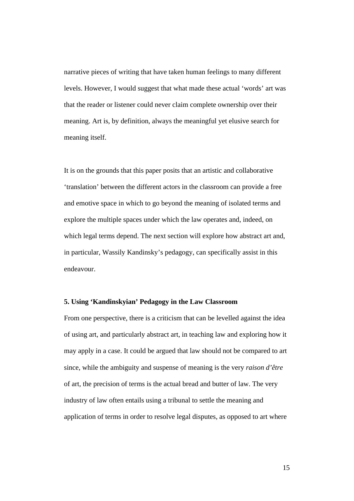narrative pieces of writing that have taken human feelings to many different levels. However, I would suggest that what made these actual 'words' art was that the reader or listener could never claim complete ownership over their meaning. Art is, by definition, always the meaningful yet elusive search for meaning itself.

It is on the grounds that this paper posits that an artistic and collaborative 'translation' between the different actors in the classroom can provide a free and emotive space in which to go beyond the meaning of isolated terms and explore the multiple spaces under which the law operates and, indeed, on which legal terms depend. The next section will explore how abstract art and, in particular, Wassily Kandinsky's pedagogy, can specifically assist in this endeavour.

#### **5. Using 'Kandinskyian' Pedagogy in the Law Classroom**

From one perspective, there is a criticism that can be levelled against the idea of using art, and particularly abstract art, in teaching law and exploring how it may apply in a case. It could be argued that law should not be compared to art since, while the ambiguity and suspense of meaning is the very *raison d'être* of art, the precision of terms is the actual bread and butter of law. The very industry of law often entails using a tribunal to settle the meaning and application of terms in order to resolve legal disputes, as opposed to art where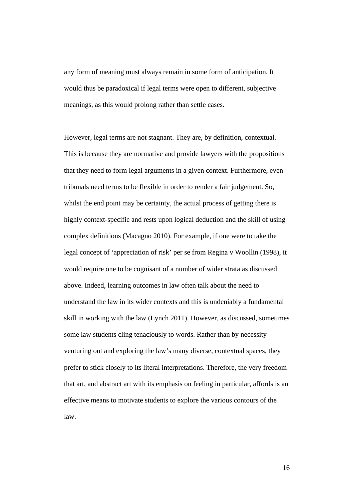any form of meaning must always remain in some form of anticipation. It would thus be paradoxical if legal terms were open to different, subjective meanings, as this would prolong rather than settle cases.

However, legal terms are not stagnant. They are, by definition, contextual. This is because they are normative and provide lawyers with the propositions that they need to form legal arguments in a given context. Furthermore, even tribunals need terms to be flexible in order to render a fair judgement. So, whilst the end point may be certainty, the actual process of getting there is highly context-specific and rests upon logical deduction and the skill of using complex definitions (Macagno 2010). For example, if one were to take the legal concept of 'appreciation of risk' per se from Regina v Woollin (1998), it would require one to be cognisant of a number of wider strata as discussed above. Indeed, learning outcomes in law often talk about the need to understand the law in its wider contexts and this is undeniably a fundamental skill in working with the law (Lynch 2011). However, as discussed, sometimes some law students cling tenaciously to words. Rather than by necessity venturing out and exploring the law's many diverse, contextual spaces, they prefer to stick closely to its literal interpretations. Therefore, the very freedom that art, and abstract art with its emphasis on feeling in particular, affords is an effective means to motivate students to explore the various contours of the law.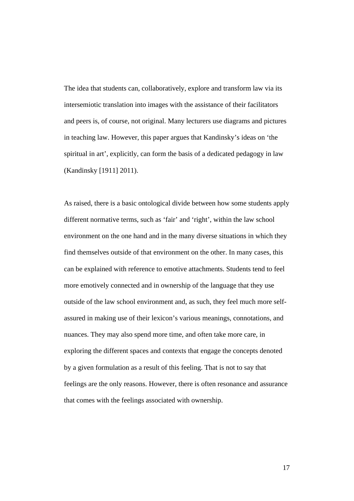The idea that students can, collaboratively, explore and transform law via its intersemiotic translation into images with the assistance of their facilitators and peers is, of course, not original. Many lecturers use diagrams and pictures in teaching law. However, this paper argues that Kandinsky's ideas on 'the spiritual in art', explicitly, can form the basis of a dedicated pedagogy in law (Kandinsky [1911] 2011).

As raised, there is a basic ontological divide between how some students apply different normative terms, such as 'fair' and 'right', within the law school environment on the one hand and in the many diverse situations in which they find themselves outside of that environment on the other. In many cases, this can be explained with reference to emotive attachments. Students tend to feel more emotively connected and in ownership of the language that they use outside of the law school environment and, as such, they feel much more selfassured in making use of their lexicon's various meanings, connotations, and nuances. They may also spend more time, and often take more care, in exploring the different spaces and contexts that engage the concepts denoted by a given formulation as a result of this feeling. That is not to say that feelings are the only reasons. However, there is often resonance and assurance that comes with the feelings associated with ownership.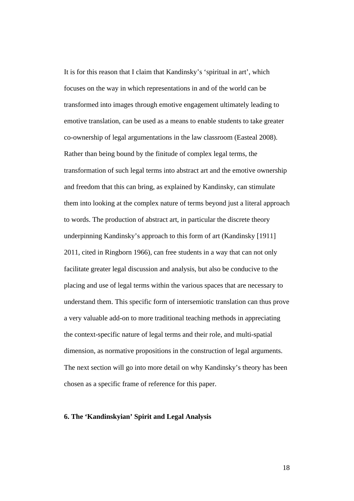It is for this reason that I claim that Kandinsky's 'spiritual in art', which focuses on the way in which representations in and of the world can be transformed into images through emotive engagement ultimately leading to emotive translation, can be used as a means to enable students to take greater co-ownership of legal argumentations in the law classroom (Easteal 2008). Rather than being bound by the finitude of complex legal terms, the transformation of such legal terms into abstract art and the emotive ownership and freedom that this can bring, as explained by Kandinsky, can stimulate them into looking at the complex nature of terms beyond just a literal approach to words. The production of abstract art, in particular the discrete theory underpinning Kandinsky's approach to this form of art (Kandinsky [1911] 2011, cited in Ringborn 1966), can free students in a way that can not only facilitate greater legal discussion and analysis, but also be conducive to the placing and use of legal terms within the various spaces that are necessary to understand them. This specific form of intersemiotic translation can thus prove a very valuable add-on to more traditional teaching methods in appreciating the context-specific nature of legal terms and their role, and multi-spatial dimension, as normative propositions in the construction of legal arguments. The next section will go into more detail on why Kandinsky's theory has been chosen as a specific frame of reference for this paper.

#### **6. The 'Kandinskyian' Spirit and Legal Analysis**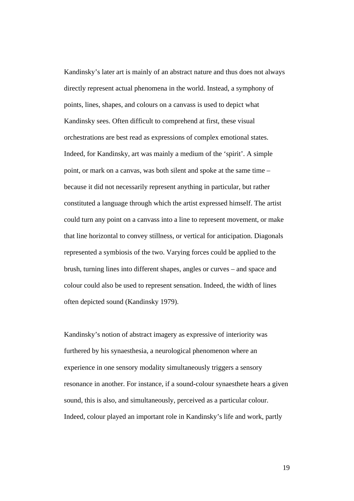Kandinsky's later art is mainly of an abstract nature and thus does not always directly represent actual phenomena in the world. Instead, a symphony of points, lines, shapes, and colours on a canvass is used to depict what Kandinsky sees. Often difficult to comprehend at first, these visual orchestrations are best read as expressions of complex emotional states. Indeed, for Kandinsky, art was mainly a medium of the 'spirit'. A simple point, or mark on a canvas, was both silent and spoke at the same time – because it did not necessarily represent anything in particular, but rather constituted a language through which the artist expressed himself. The artist could turn any point on a canvass into a line to represent movement, or make that line horizontal to convey stillness, or vertical for anticipation. Diagonals represented a symbiosis of the two. Varying forces could be applied to the brush, turning lines into different shapes, angles or curves – and space and colour could also be used to represent sensation. Indeed, the width of lines often depicted sound (Kandinsky 1979).

Kandinsky's notion of abstract imagery as expressive of interiority was furthered by his synaesthesia, a neurological phenomenon where an experience in one sensory modality simultaneously triggers a sensory resonance in another. For instance, if a sound-colour synaesthete hears a given sound, this is also, and simultaneously, perceived as a particular colour. Indeed, colour played an important role in Kandinsky's life and work, partly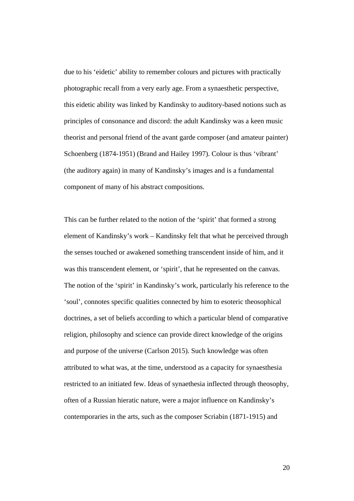due to his 'eidetic' ability to remember colours and pictures with practically photographic recall from a very early age. From a synaesthetic perspective, this eidetic ability was linked by Kandinsky to auditory-based notions such as principles of consonance and discord: the adult Kandinsky was a keen music theorist and personal friend of the avant garde composer (and amateur painter) Schoenberg (1874-1951) (Brand and Hailey 1997). Colour is thus 'vibrant' (the auditory again) in many of Kandinsky's images and is a fundamental component of many of his abstract compositions.

This can be further related to the notion of the 'spirit' that formed a strong element of Kandinsky's work – Kandinsky felt that what he perceived through the senses touched or awakened something transcendent inside of him, and it was this transcendent element, or 'spirit', that he represented on the canvas. The notion of the 'spirit' in Kandinsky's work, particularly his reference to the 'soul', connotes specific qualities connected by him to esoteric theosophical doctrines, a set of beliefs according to which a particular blend of comparative religion, philosophy and science can provide direct knowledge of the origins and purpose of the universe (Carlson 2015). Such knowledge was often attributed to what was, at the time, understood as a capacity for synaesthesia restricted to an initiated few. Ideas of synaethesia inflected through theosophy, often of a Russian hieratic nature, were a major influence on Kandinsky's contemporaries in the arts, such as the composer Scriabin (1871-1915) and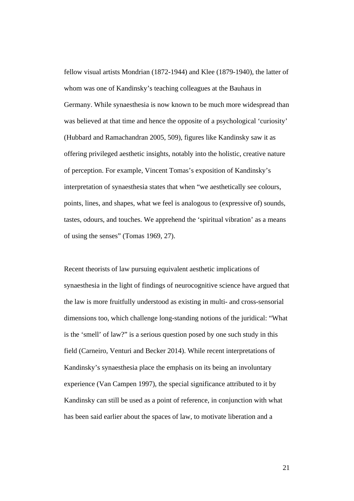fellow visual artists Mondrian (1872-1944) and Klee (1879-1940), the latter of whom was one of Kandinsky's teaching colleagues at the Bauhaus in Germany. While synaesthesia is now known to be much more widespread than was believed at that time and hence the opposite of a psychological 'curiosity' (Hubbard and Ramachandran 2005, 509), figures like Kandinsky saw it as offering privileged aesthetic insights, notably into the holistic, creative nature of perception. For example, Vincent Tomas's exposition of Kandinsky's interpretation of synaesthesia states that when "we aesthetically see colours, points, lines, and shapes, what we feel is analogous to (expressive of) sounds, tastes, odours, and touches. We apprehend the 'spiritual vibration' as a means of using the senses" (Tomas 1969, 27).

Recent theorists of law pursuing equivalent aesthetic implications of synaesthesia in the light of findings of neurocognitive science have argued that the law is more fruitfully understood as existing in multi- and cross-sensorial dimensions too, which challenge long-standing notions of the juridical: "What is the 'smell' of law?" is a serious question posed by one such study in this field (Carneiro, Venturi and Becker 2014). While recent interpretations of Kandinsky's synaesthesia place the emphasis on its being an involuntary experience (Van Campen 1997), the special significance attributed to it by Kandinsky can still be used as a point of reference, in conjunction with what has been said earlier about the spaces of law, to motivate liberation and a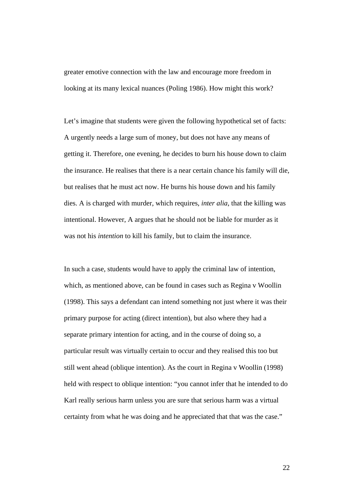greater emotive connection with the law and encourage more freedom in looking at its many lexical nuances (Poling 1986). How might this work?

Let's imagine that students were given the following hypothetical set of facts: A urgently needs a large sum of money, but does not have any means of getting it. Therefore, one evening, he decides to burn his house down to claim the insurance. He realises that there is a near certain chance his family will die, but realises that he must act now. He burns his house down and his family dies. A is charged with murder, which requires, *inter alia*, that the killing was intentional. However, A argues that he should not be liable for murder as it was not his *intention* to kill his family, but to claim the insurance.

In such a case, students would have to apply the criminal law of intention, which, as mentioned above, can be found in cases such as Regina v Woollin (1998). This says a defendant can intend something not just where it was their primary purpose for acting (direct intention), but also where they had a separate primary intention for acting, and in the course of doing so, a particular result was virtually certain to occur and they realised this too but still went ahead (oblique intention). As the court in Regina v Woollin (1998) held with respect to oblique intention: "you cannot infer that he intended to do Karl really serious harm unless you are sure that serious harm was a virtual certainty from what he was doing and he appreciated that that was the case."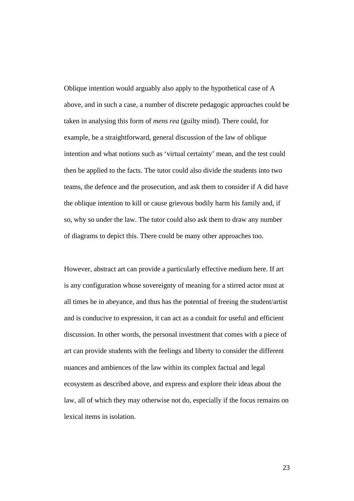Oblique intention would arguably also apply to the hypothetical case of A above, and in such a case, a number of discrete pedagogic approaches could be taken in analysing this form of *mens rea* (guilty mind). There could, for example, be a straightforward, general discussion of the law of oblique intention and what notions such as 'virtual certainty' mean, and the test could then be applied to the facts. The tutor could also divide the students into two teams, the defence and the prosecution, and ask them to consider if A did have the oblique intention to kill or cause grievous bodily harm his family and, if so, why so under the law. The tutor could also ask them to draw any number of diagrams to depict this. There could be many other approaches too.

However, abstract art can provide a particularly effective medium here. If art is any configuration whose sovereignty of meaning for a stirred actor must at all times be in abeyance, and thus has the potential of freeing the student/artist and is conducive to expression, it can act as a conduit for useful and efficient discussion. In other words, the personal investment that comes with a piece of art can provide students with the feelings and liberty to consider the different nuances and ambiences of the law within its complex factual and legal ecosystem as described above, and express and explore their ideas about the law, all of which they may otherwise not do, especially if the focus remains on lexical items in isolation.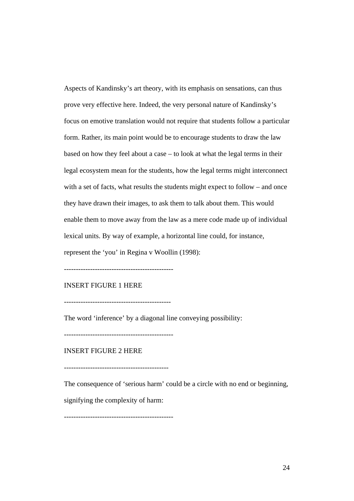Aspects of Kandinsky's art theory, with its emphasis on sensations, can thus prove very effective here. Indeed, the very personal nature of Kandinsky's focus on emotive translation would not require that students follow a particular form. Rather, its main point would be to encourage students to draw the law based on how they feel about a case – to look at what the legal terms in their legal ecosystem mean for the students, how the legal terms might interconnect with a set of facts, what results the students might expect to follow – and once they have drawn their images, to ask them to talk about them. This would enable them to move away from the law as a mere code made up of individual lexical units. By way of example, a horizontal line could, for instance, represent the 'you' in Regina v Woollin (1998):

----------------------------------------------

#### INSERT FIGURE 1 HERE

---------------------------------------------

The word 'inference' by a diagonal line conveying possibility:

----------------------------------------------

INSERT FIGURE 2 HERE

--------------------------------------------

The consequence of 'serious harm' could be a circle with no end or beginning,

signifying the complexity of harm:

----------------------------------------------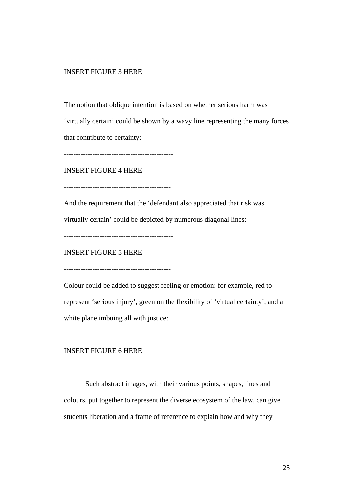## INSERT FIGURE 3 HERE

---------------------------------------------

The notion that oblique intention is based on whether serious harm was

'virtually certain' could be shown by a wavy line representing the many forces that contribute to certainty:

----------------------------------------------

INSERT FIGURE 4 HERE

---------------------------------------------

And the requirement that the 'defendant also appreciated that risk was

virtually certain' could be depicted by numerous diagonal lines:

----------------------------------------------

INSERT FIGURE 5 HERE

---------------------------------------------

Colour could be added to suggest feeling or emotion: for example, red to represent 'serious injury', green on the flexibility of 'virtual certainty', and a white plane imbuing all with justice:

----------------------------------------------

INSERT FIGURE 6 HERE

---------------------------------------------

Such abstract images, with their various points, shapes, lines and colours, put together to represent the diverse ecosystem of the law, can give students liberation and a frame of reference to explain how and why they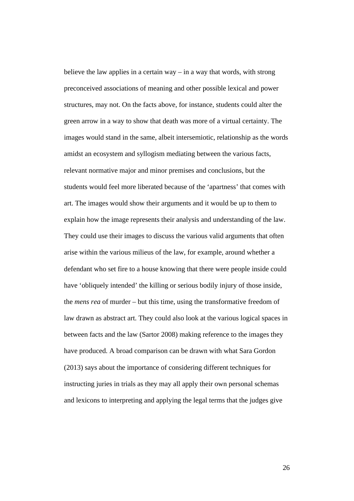believe the law applies in a certain way – in a way that words, with strong preconceived associations of meaning and other possible lexical and power structures, may not. On the facts above, for instance, students could alter the green arrow in a way to show that death was more of a virtual certainty. The images would stand in the same, albeit intersemiotic, relationship as the words amidst an ecosystem and syllogism mediating between the various facts, relevant normative major and minor premises and conclusions, but the students would feel more liberated because of the 'apartness' that comes with art. The images would show their arguments and it would be up to them to explain how the image represents their analysis and understanding of the law. They could use their images to discuss the various valid arguments that often arise within the various milieus of the law, for example, around whether a defendant who set fire to a house knowing that there were people inside could have 'obliquely intended' the killing or serious bodily injury of those inside, the *mens rea* of murder – but this time, using the transformative freedom of law drawn as abstract art. They could also look at the various logical spaces in between facts and the law (Sartor 2008) making reference to the images they have produced. A broad comparison can be drawn with what Sara Gordon (2013) says about the importance of considering different techniques for instructing juries in trials as they may all apply their own personal schemas and lexicons to interpreting and applying the legal terms that the judges give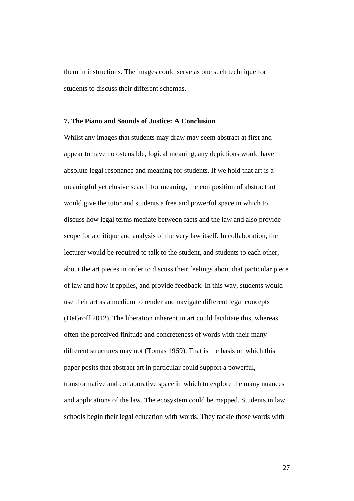them in instructions. The images could serve as one such technique for students to discuss their different schemas.

### **7. The Piano and Sounds of Justice: A Conclusion**

Whilst any images that students may draw may seem abstract at first and appear to have no ostensible, logical meaning, any depictions would have absolute legal resonance and meaning for students. If we hold that art is a meaningful yet elusive search for meaning, the composition of abstract art would give the tutor and students a free and powerful space in which to discuss how legal terms mediate between facts and the law and also provide scope for a critique and analysis of the very law itself. In collaboration, the lecturer would be required to talk to the student, and students to each other, about the art pieces in order to discuss their feelings about that particular piece of law and how it applies, and provide feedback. In this way, students would use their art as a medium to render and navigate different legal concepts (DeGroff 2012). The liberation inherent in art could facilitate this, whereas often the perceived finitude and concreteness of words with their many different structures may not (Tomas 1969). That is the basis on which this paper posits that abstract art in particular could support a powerful, transformative and collaborative space in which to explore the many nuances and applications of the law. The ecosystem could be mapped. Students in law schools begin their legal education with words. They tackle those words with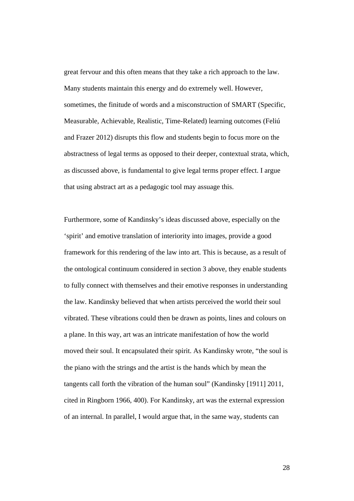great fervour and this often means that they take a rich approach to the law. Many students maintain this energy and do extremely well. However, sometimes, the finitude of words and a misconstruction of SMART (Specific, Measurable, Achievable, Realistic, Time-Related) learning outcomes (Feliú and Frazer 2012) disrupts this flow and students begin to focus more on the abstractness of legal terms as opposed to their deeper, contextual strata, which, as discussed above, is fundamental to give legal terms proper effect. I argue that using abstract art as a pedagogic tool may assuage this.

Furthermore, some of Kandinsky's ideas discussed above, especially on the 'spirit' and emotive translation of interiority into images, provide a good framework for this rendering of the law into art. This is because, as a result of the ontological continuum considered in section 3 above, they enable students to fully connect with themselves and their emotive responses in understanding the law. Kandinsky believed that when artists perceived the world their soul vibrated. These vibrations could then be drawn as points, lines and colours on a plane. In this way, art was an intricate manifestation of how the world moved their soul. It encapsulated their spirit. As Kandinsky wrote, "the soul is the piano with the strings and the artist is the hands which by mean the tangents call forth the vibration of the human soul" (Kandinsky [1911] 2011, cited in Ringborn 1966, 400). For Kandinsky, art was the external expression of an internal. In parallel, I would argue that, in the same way, students can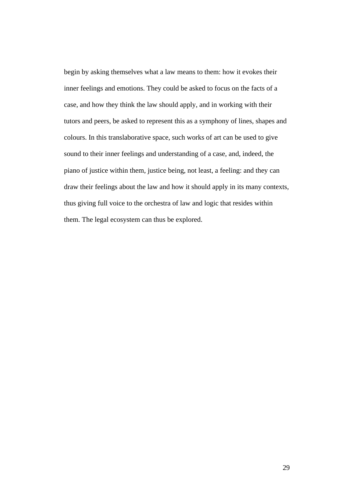begin by asking themselves what a law means to them: how it evokes their inner feelings and emotions. They could be asked to focus on the facts of a case, and how they think the law should apply, and in working with their tutors and peers, be asked to represent this as a symphony of lines, shapes and colours. In this translaborative space, such works of art can be used to give sound to their inner feelings and understanding of a case, and, indeed, the piano of justice within them, justice being, not least, a feeling: and they can draw their feelings about the law and how it should apply in its many contexts, thus giving full voice to the orchestra of law and logic that resides within them. The legal ecosystem can thus be explored.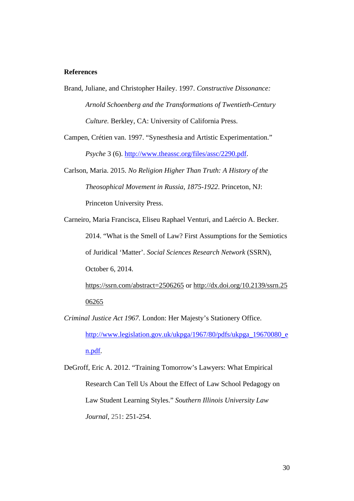#### **References**

Brand, Juliane, and Christopher Hailey. 1997. *Constructive Dissonance: Arnold Schoenberg and the Transformations of Twentieth-Century Culture.* Berkley, CA: University of California Press.

Campen, Crétien van. 1997. "Synesthesia and Artistic Experimentation." *Psyche* 3 (6). [http://www.theassc.org/files/assc/2290.pdf.](http://www.theassc.org/files/assc/2290.pdf)

Carlson, Maria. 2015. *No Religion Higher Than Truth: A History of the Theosophical Movement in Russia, 1875-1922*. Princeton, NJ: Princeton University Press.

Carneiro, Maria Francisca, Eliseu Raphael Venturi, and Laércio A. Becker. 2014. "What is the Smell of Law? First Assumptions for the Semiotics of Juridical 'Matter'. *Social Sciences Research Network* (SSRN), October 6, 2014.

<https://ssrn.com/abstract=2506265>or [http://dx.doi.org/10.2139/ssrn.25](http://dx.doi.org/10.2139/ssrn.2506265) [06265](http://dx.doi.org/10.2139/ssrn.2506265)

*Criminal Justice Act 1967.* London: Her Majesty's Stationery Office. [http://www.legislation.gov.uk/ukpga/1967/80/pdfs/ukpga\\_19670080\\_e](http://www.legislation.gov.uk/ukpga/1967/80/pdfs/ukpga_19670080_en.pdf) [n.pdf.](http://www.legislation.gov.uk/ukpga/1967/80/pdfs/ukpga_19670080_en.pdf)

DeGroff, Eric A. 2012. "Training Tomorrow's Lawyers: What Empirical Research Can Tell Us About the Effect of Law School Pedagogy on Law Student Learning Styles." *Southern Illinois University Law Journal*, 251: 251-254.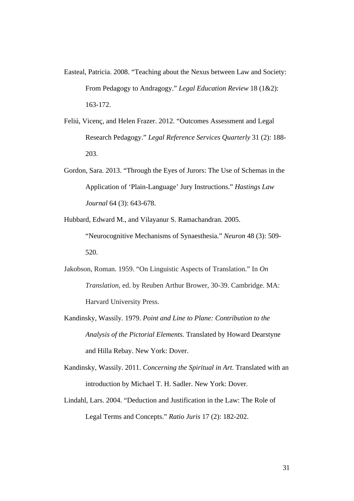- Easteal, Patricia. 2008. "Teaching about the Nexus between Law and Society: From Pedagogy to Andragogy." *Legal Education Review* 18 (1&2): 163-172.
- Feliú, Vicenç, and Helen Frazer. 2012. "Outcomes Assessment and Legal Research Pedagogy." *Legal Reference Services Quarterly* 31 (2): 188- 203.
- Gordon, Sara. 2013. "Through the Eyes of Jurors: The Use of Schemas in the Application of 'Plain-Language' Jury Instructions." *Hastings Law Journal* 64 (3): 643-678.
- Hubbard, Edward M., and Vilayanur S. Ramachandran. 2005. "Neurocognitive Mechanisms of Synaesthesia." *Neuron* 48 (3): 509- 520.
- Jakobson, Roman. 1959. "On Linguistic Aspects of Translation." In *On Translation*, ed. by Reuben Arthur Brower, 30-39. Cambridge. MA: Harvard University Press.
- Kandinsky, Wassily. 1979. *Point and Line to Plane: Contribution to the Analysis of the Pictorial Elements*. Translated by Howard Dearstyne and Hilla Rebay. New York: Dover.
- Kandinsky, Wassily. 2011. *Concerning the Spiritual in Art*. Translated with an introduction by Michael T. H. Sadler. New York: Dover.
- Lindahl, Lars. 2004. "Deduction and Justification in the Law: The Role of Legal Terms and Concepts." *Ratio Juris* 17 (2): 182-202.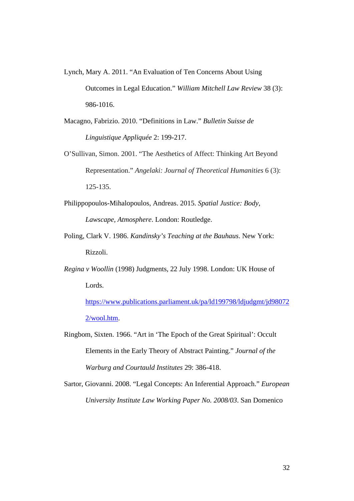- Lynch, Mary A. 2011. "An Evaluation of Ten Concerns About Using Outcomes in Legal Education." *William Mitchell Law Review* 38 (3): 986-1016.
- [Macagno](https://papers.ssrn.com/sol3/cf_dev/AbsByAuth.cfm?per_id=1242604), Fabrizio. 2010. "Definitions in Law." *Bulletin Suisse de Linguistique Appliquée* 2: 199-217.
- O'Sullivan, Simon. 2001. "The Aesthetics of Affect: Thinking Art Beyond Representation." *Angelaki: Journal of Theoretical Humanities* 6 (3): 125-135.
- Philippopoulos-Mihalopoulos, Andreas. 2015. *Spatial Justice: Body, Lawscape, Atmosphere*. London: Routledge.
- Poling, Clark V. 1986. *Kandinsky's Teaching at the Bauhaus*. New York: Rizzoli.
- *Regina v Woollin* (1998) Judgments, 22 July 1998. London: UK House of Lords.

[https://www.publications.parliament.uk/pa/ld199798/ldjudgmt/jd98072](https://www.publications.parliament.uk/pa/ld199798/ldjudgmt/jd980722/wool.htm) [2/wool.htm.](https://www.publications.parliament.uk/pa/ld199798/ldjudgmt/jd980722/wool.htm)

- Ringbom, Sixten. 1966. "Art in 'The Epoch of the Great Spiritual': Occult Elements in the Early Theory of Abstract Painting." *Journal of the Warburg and Courtauld Institutes* 29: 386-418.
- Sartor, Giovanni. 2008. "Legal Concepts: An Inferential Approach." *European University Institute Law Working Paper No. 2008/03*. San Domenico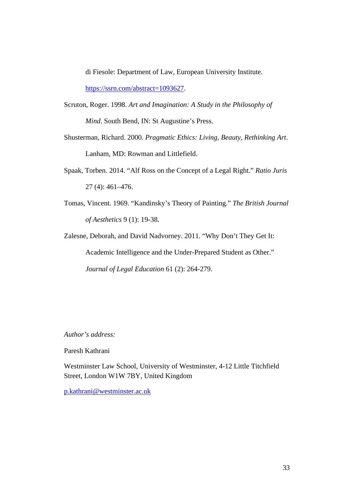di Fiesole: Department of Law, European University Institute.

[https://ssrn.com/abstract=1093627.](https://ssrn.com/abstract=1093627)

- Scruton, Roger. 1998. *Art and Imagination: A Study in the Philosophy of Mind*. South Bend, IN: St Augustine's Press.
- Shusterman, Richard. 2000. *Pragmatic Ethics: Living, Beauty, Rethinking Art*. Lanham, MD: Rowman and Littlefield.
- Spaak, Torben. 2014. "Alf Ross on the Concept of a Legal Right." *Ratio Juris* 27 (4): 461–476.
- Tomas, Vincent. 1969. "Kandinsky's Theory of Painting." *The British Journal of Aesthetics* 9 (1): 19-38.

Zalesne, Deborah, and David Nadvorney. 2011. "Why Don't They Get It: Academic Intelligence and the Under-Prepared Student as Other." *Journal of Legal Education* 61 (2): 264-279.

*Author's address:*

Paresh Kathrani

Westminster Law School, University of Westminster, 4-12 Little Titchfield Street, London W1W 7BY, United Kingdom

[p.kathrani@westminster.ac.uk](mailto:p.kathrani@westminster.ac.uk)